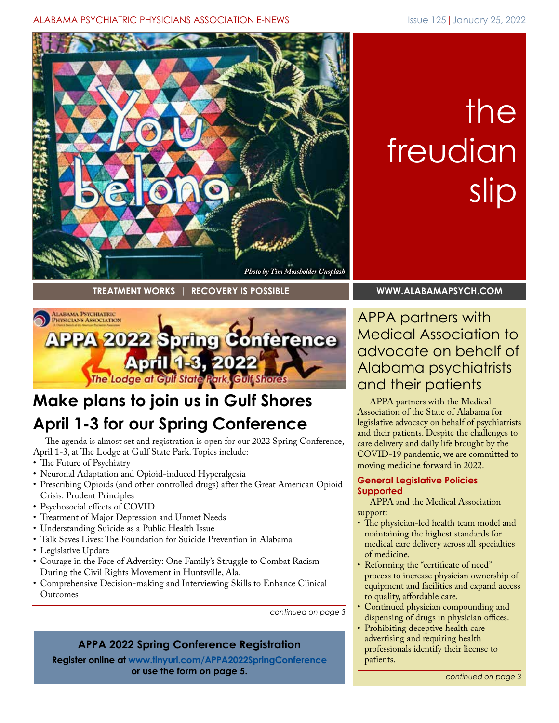## ALABAMA PSYCHIATRIC PHYSICIANS ASSOCIATION E-NEWS **ISSUE 125 | January 25, 2022**



# the freudian slip

**TREATMENT WORKS | RECOVERY IS POSSIBLE [WWW.ALABAMAPSYCH.COM](http://www.alabamapsych.com)**



## **Make plans to join us in Gulf Shores April 1-3 for our Spring Conference**

The agenda is almost set and registration is open for our 2022 Spring Conference, April 1-3, at The Lodge at Gulf State Park. Topics include:

- The Future of Psychiatry
- Neuronal Adaptation and Opioid-induced Hyperalgesia
- Prescribing Opioids (and other controlled drugs) after the Great American Opioid Crisis: Prudent Principles
- Psychosocial effects of COVID
- Treatment of Major Depression and Unmet Needs
- Understanding Suicide as a Public Health Issue
- Talk Saves Lives: The Foundation for Suicide Prevention in Alabama
- Legislative Update
- Courage in the Face of Adversity: One Family's Struggle to Combat Racism During the Civil Rights Movement in Huntsville, Ala.
- Comprehensive Decision-making and Interviewing Skills to Enhance Clinical Outcomes

*continued on page 3*

## **APPA 2022 Spring Conference Registration**

**Register online a[t www.tinyurl.com/APPA2022SpringConference](https://events.r20.constantcontact.com/register/eventReg?oeidk=a07eixhirp907fa93b0&oseq=&c=&ch=) or use the form on page 5.**

APPA partners with Medical Association to advocate on behalf of Alabama psychiatrists and their patients

APPA partners with the Medical Association of the State of Alabama for legislative advocacy on behalf of psychiatrists and their patients. Despite the challenges to care delivery and daily life brought by the COVID-19 pandemic, we are committed to moving medicine forward in 2022.

## **General Legislative Policies Supported**

APPA and the Medical Association support:

- The physician-led health team model and maintaining the highest standards for medical care delivery across all specialties of medicine.
- Reforming the "certificate of need" process to increase physician ownership of equipment and facilities and expand access to quality, affordable care.
- Continued physician compounding and dispensing of drugs in physician offices.
- Prohibiting deceptive health care advertising and requiring health professionals identify their license to patients.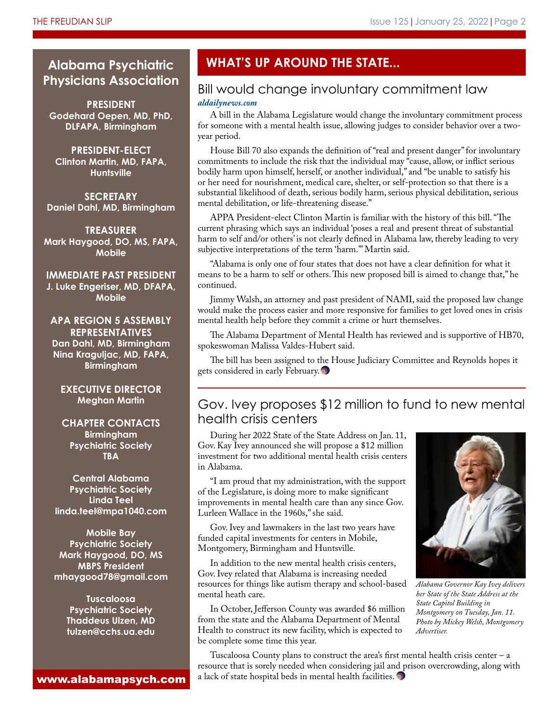## **Physicians Association**

**PRESIDENT Godehard Oepen, MD, PhD, DLFAPA, Birmingham**

**PRESIDENT-ELECT Clinton Martin, MD, FAPA, Huntsville**

**SECRETARY Daniel Dahl, MD, Birmingham**

**TREASURER Mark Haygood, DO, MS, FAPA, Mobile**

**IMMEDIATE PAST PRESIDENT J. Luke Engeriser, MD, DFAPA, Mobile**

**APA REGION 5 ASSEMBLY REPRESENTATIVES Dan Dahl, MD, Birmingham Nina Kraguljac, MD, FAPA, Birmingham**

**EXECUTIVE DIRECTOR Meghan Martin**

**CHAPTER CONTACTS Birmingham Psychiatric Society TBA**

**Central Alabama Psychiatric Society Linda Teel linda.teel@mpa1040.com**

**Mobile Bay Psychiatric Society Mark Haygood, DO, MS MBPS President mhaygood78@gmail.com**

> **Tuscaloosa Psychiatric Society Thaddeus Ulzen, MD tulzen@cchs.ua.edu**

www.alabamapsych.com

## **Alabama Psychiatric WHAT'S UP AROUND THE STATE...**

## Bill would change involuntary commitment law

#### *[aldailynews.com](https://www.aldailynews.com/bill-would-change-involuntary-commitment-law/)*

A bill in the Alabama Legislature would change the involuntary commitment process for someone with a mental health issue, allowing judges to consider behavior over a twoyear period.

House Bill 70 also expands the definition of "real and present danger" for involuntary commitments to include the risk that the individual may "cause, allow, or inflict serious bodily harm upon himself, herself, or another individual," and "be unable to satisfy his or her need for nourishment, medical care, shelter, or self-protection so that there is a substantial likelihood of death, serious bodily harm, serious physical debilitation, serious mental debilitation, or life-threatening disease."

APPA President-elect Clinton Martin is familiar with the history of this bill. "The current phrasing which says an individual 'poses a real and present threat of substantial harm to self and/or others' is not clearly defined in Alabama law, thereby leading to very subjective interpretations of the term 'harm.'" Martin said.

"Alabama is only one of four states that does not have a clear definition for what it means to be a harm to self or others. This new proposed bill is aimed to change that," he continued.

Jimmy Walsh, an attorney and past president of NAMI, said the proposed law change would make the process easier and more responsive for families to get loved ones in crisis mental health help before they commit a crime or hurt themselves.

The Alabama Department of Mental Health has reviewed and is supportive of HB70, spokeswoman Malissa Valdes-Hubert said.

The bill has been assigned to the House Judiciary Committee and Reynolds hopes it gets considered in early February.

## Gov. Ivey proposes \$12 million to fund to new mental health crisis centers

During her 2022 State of the State Address on Jan. 11, Gov. Kay Ivey announced she will propose a \$12 million investment for two additional mental health crisis centers in Alabama.

"I am proud that my administration, with the support of the Legislature, is doing more to make significant improvements in mental health care than any since Gov. Lurleen Wallace in the 1960s," she said.

Gov. Ivey and lawmakers in the last two years have funded capital investments for centers in Mobile, Montgomery, Birmingham and Huntsville.

In addition to the new mental health crisis centers, Gov. Ivey related that Alabama is increasing needed resources for things like autism therapy and school-based mental heath care.

In October, Jefferson County was awarded \$6 million from the state and the Alabama Department of Mental Health to construct its new facility, which is expected to be complete some time this year.



*Alabama Governor Kay Ivey delivers her State of the State Address at the State Capitol Building in Montgomery on Tuesday, Jan. 11. Photo by Mickey Welsh, Montgomery Advertiser.*

Tuscaloosa County plans to construct the area's first mental health crisis center – a resource that is sorely needed when considering jail and prison overcrowding, along with a lack of state hospital beds in mental health facilities.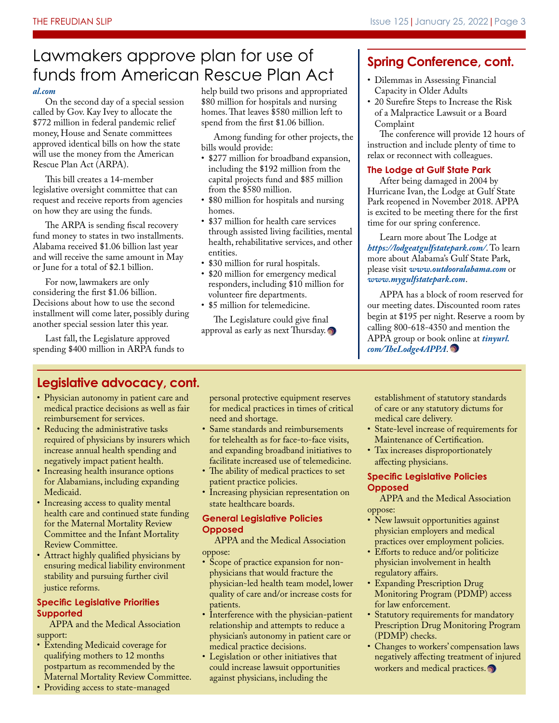## Lawmakers approve plan for use of funds from American Rescue Plan Act | Dilemmas in Assessing Financial

#### *[al.com](https://www.al.com/news/2022/01/alabama-lawmakers-move-ahead-with-plan-to-spend-772-million-in-covid-19-funds.html)*

On the second day of a special session called by Gov. Kay Ivey to allocate the \$772 million in federal pandemic relief money, House and Senate committees approved identical bills on how the state will use the money from the American Rescue Plan Act (ARPA).

This bill creates a 14-member legislative oversight committee that can request and receive reports from agencies on how they are using the funds.

The ARPA is sending fiscal recovery fund money to states in two installments. Alabama received \$1.06 billion last year and will receive the same amount in May or June for a total of \$2.1 billion.

For now, lawmakers are only considering the first \$1.06 billion. Decisions about how to use the second installment will come later, possibly during another special session later this year.

Last fall, the Legislature approved spending \$400 million in ARPA funds to help build two prisons and appropriated \$80 million for hospitals and nursing homes. That leaves \$580 million left to spend from the first \$1.06 billion.

Among funding for other projects, the bills would provide:

- \$277 million for broadband expansion, including the \$192 million from the capital projects fund and \$85 million from the \$580 million.
- \$80 million for hospitals and nursing homes.
- \$37 million for health care services through assisted living facilities, mental health, rehabilitative services, and other entities.
- \$30 million for rural hospitals.
- \$20 million for emergency medical responders, including \$10 million for volunteer fire departments.
- \$5 million for telemedicine.

The Legislature could give final approval as early as next Thursday.

## **Spring Conference, cont.**

- Capacity in Older Adults
- 20 Surefire Steps to Increase the Risk of a Malpractice Lawsuit or a Board Complaint

The conference will provide 12 hours of instruction and include plenty of time to relax or reconnect with colleagues.

#### **The Lodge at Gulf State Park**

After being damaged in 2004 by Hurricane Ivan, the Lodge at Gulf State Park reopened in November 2018. APPA is excited to be meeting there for the first time for our spring conference.

Learn more about The Lodge at *https://lodgeatgulfstatepark.com/*. To learn more about Alabama's Gulf State Park, please visit *www.outdooralabama.com* or *www.mygulfstatepark.com*.

APPA has a block of room reserved for our meeting dates. Discounted room rates begin at \$195 per night. Reserve a room by calling 800-618-4350 and mention the [APPA group or book online at](https://www.hilton.com/en/book/reservation/rooms/?ctyhocn=PNSLGHH&arrivalDate=2022-04-01&departureDate=2022-04-03&room1NumAdults=1&cid=OM%2CWW%2CHILTONLINK%2CEN%2CDirectLink) *tinyurl. com/TheLodge4APPA*.

## **Legislative advocacy, cont.**

- Physician autonomy in patient care and medical practice decisions as well as fair reimbursement for services.
- Reducing the administrative tasks required of physicians by insurers which increase annual health spending and negatively impact patient health.
- Increasing health insurance options for Alabamians, including expanding Medicaid.
- Increasing access to quality mental health care and continued state funding for the Maternal Mortality Review Committee and the Infant Mortality Review Committee.
- Attract highly qualified physicians by ensuring medical liability environment stability and pursuing further civil justice reforms.

## **Specific Legislative Priorities Supported**

APPA and the Medical Association support:

- Extending Medicaid coverage for qualifying mothers to 12 months postpartum as recommended by the Maternal Mortality Review Committee.
- Providing access to state-managed

personal protective equipment reserves for medical practices in times of critical need and shortage.

- Same standards and reimbursements for telehealth as for face-to-face visits, and expanding broadband initiatives to facilitate increased use of telemedicine.
- The ability of medical practices to set patient practice policies.
- Increasing physician representation on state healthcare boards.

#### **General Legislative Policies Opposed**

APPA and the Medical Association oppose:

- Scope of practice expansion for nonphysicians that would fracture the physician-led health team model, lower quality of care and/or increase costs for patients.
- Interference with the physician-patient relationship and attempts to reduce a physician's autonomy in patient care or medical practice decisions.
- Legislation or other initiatives that could increase lawsuit opportunities against physicians, including the

establishment of statutory standards of care or any statutory dictums for medical care delivery.

- State-level increase of requirements for Maintenance of Certification.
- Tax increases disproportionately affecting physicians.

#### **Specific Legislative Policies Opposed**

APPA and the Medical Association oppose:

- New lawsuit opportunities against physician employers and medical practices over employment policies.
- Efforts to reduce and/or politicize physician involvement in health regulatory affairs.
- Expanding Prescription Drug Monitoring Program (PDMP) access for law enforcement.
- Statutory requirements for mandatory Prescription Drug Monitoring Program (PDMP) checks.
- Changes to workers' compensation laws negatively affecting treatment of injured workers and medical practices.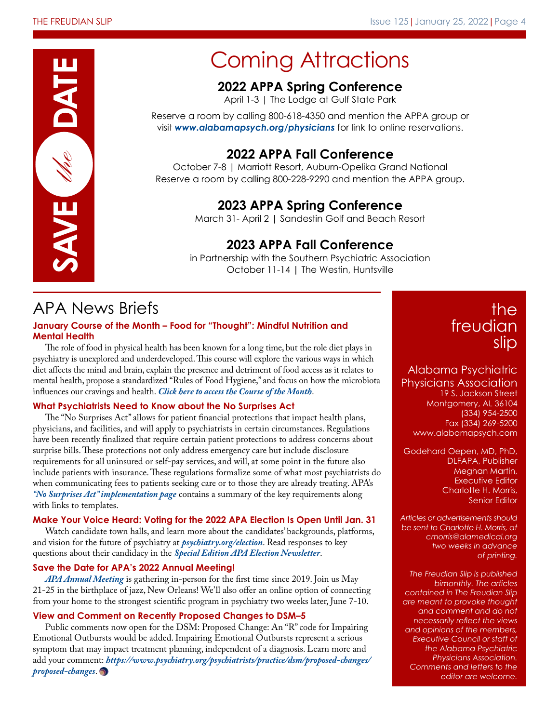

## Coming Attractions

## **2022 APPA Spring Conference**

April 1-3 | The Lodge at Gulf State Park

Reserve a room by calling 800-618-4350 and mention the APPA group or visit *www.alabamapsych.org/physicians* for link to online reservations.

## **2022 APPA Fall Conference**

October 7-8 | Marriott Resort, Auburn-Opelika Grand National Reserve a room by calling 800-228-9290 and mention the APPA group.

## **2023 APPA Spring Conference**

March 31- April 2 | Sandestin Golf and Beach Resort

## **2023 APPA Fall Conference**

in Partnership with the Southern Psychiatric Association October 11-14 | The Westin, Huntsville

## APA News Briefs

## **January Course of the Month – Food for "Thought": Mindful Nutrition and Mental Health**

The role of food in physical health has been known for a long time, but the role diet plays in psychiatry is unexplored and underdeveloped. This course will explore the various ways in which diet affects the mind and brain, explain the presence and detriment of food access as it relates to mental health, propose a standardized "Rules of Food Hygiene," and focus on how the microbiota influences our cravings and health. *[Click here to access the Course of the Month](https://www.psychiatry.org/psychiatrists/education/apa-learning-center/members-course-of-the-month)*.

## **What Psychiatrists Need to Know about the No Surprises Act**

The "No Surprises Act" allows for patient financial protections that impact health plans, physicians, and facilities, and will apply to psychiatrists in certain circumstances. Regulations have been recently finalized that require certain patient protections to address concerns about surprise bills. These protections not only address emergency care but include disclosure requirements for all uninsured or self-pay services, and will, at some point in the future also include patients with insurance. These regulations formalize some of what most psychiatrists do when communicating fees to patients seeking care or to those they are already treating. APA's *["No Surprises Act" implementation page](https://www.psychiatry.org/psychiatrists/practice/practice-management/no-surprises-act-implementation)* contains a summary of the key requirements along with links to templates.

## **Make Your Voice Heard: Voting for the 2022 APA Election Is Open Until Jan. 31**

Watch candidate town halls, and learn more about the candidates' backgrounds, platforms, and vision for the future of psychiatry at *[psychiatry.org/election](http://www.psychiatry.org/election)*. Read responses to key questions about their candidacy in the *[Special Edition APA Election Newsletter](https://www.psychiatry.org/psychiatrists/awards-leadership-opportunities/leadership-opportunities/elections/candidates-newsletter)*.

## **Save the Date for APA's 2022 Annual Meeting!**

*[APA Annual Meeting](https://www.psychiatry.org/psychiatrists/meetings/annual-meeting?utm_source=Internal-Link&utm_medium=Banner-Row&utm_campaign=AM22)* is gathering in-person for the first time since 2019. Join us May 21-25 in the birthplace of jazz, New Orleans! We'll also offer an online option of connecting from your home to the strongest scientific program in psychiatry two weeks later, June 7-10.

## **View and Comment on Recently Proposed Changes to DSM–5**

Public comments now open for the DSM: Proposed Change: An "R" code for Impairing Emotional Outbursts would be added. Impairing Emotional Outbursts represent a serious symptom that may impact treatment planning, independent of a diagnosis. Learn more and add your comment: *[https://www.psychiatry.org/psychiatrists/practice/dsm/proposed-changes/](https://www.psychiatry.org/psychiatrists/practice/dsm/proposed-changes/proposed-changes) proposed-changes*.

## the freudian slip

Alabama Psychiatric

Physicians Association 19 S. Jackson Street Montgomery, AL 36104 (334) 954-2500 Fax (334) 269-5200 www.alabamapsych.com

Godehard Oepen, MD, PhD, DLFAPA, Publisher Meghan Martin, Executive Editor Charlotte H. Morris, Senior Editor

*Articles or advertisements should be sent to Charlotte H. Morris, at cmorris@alamedical.org two weeks in advance of printing.* 

*The Freudian Slip is published bimonthly. The articles contained in The Freudian Slip are meant to provoke thought and comment and do not necessarily reflect the views and opinions of the members, Executive Council or staff of the Alabama Psychiatric Physicians Association. Comments and letters to the editor are welcome.*